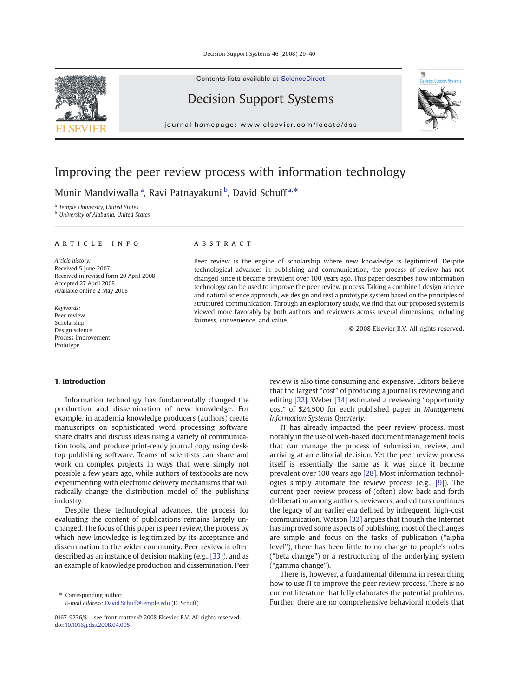Decision Support Systems 46 (2008) 29–40

Contents lists available at [ScienceDirect](http://www.sciencedirect.com/science/journal/01679236)



Decision Support Systems

journal homepage: www.elsevier.com/locate/dss



## Improving the peer review process with information technology

Munir Mandviwalla <sup>a</sup>, Ravi Patnayakuni <sup>b</sup>, David Schuff <sup>a,\*</sup>

<sup>a</sup> Temple University, United States

<sup>b</sup> University of Alabama, United States

#### article info abstract

Article history: Received 5 June 2007 Received in revised form 20 April 2008 Accepted 27 April 2008 Available online 2 May 2008

Keywords: Peer review Scholarship Design science Process improvement Prototype

Peer review is the engine of scholarship where new knowledge is legitimized. Despite technological advances in publishing and communication, the process of review has not changed since it became prevalent over 100 years ago. This paper describes how information technology can be used to improve the peer review process. Taking a combined design science and natural science approach, we design and test a prototype system based on the principles of structured communication. Through an exploratory study, we find that our proposed system is viewed more favorably by both authors and reviewers across several dimensions, including fairness, convenience, and value.

© 2008 Elsevier B.V. All rights reserved.

#### 1. Introduction

Information technology has fundamentally changed the production and dissemination of new knowledge. For example, in academia knowledge producers (authors) create manuscripts on sophisticated word processing software, share drafts and discuss ideas using a variety of communication tools, and produce print-ready journal copy using desktop publishing software. Teams of scientists can share and work on complex projects in ways that were simply not possible a few years ago, while authors of textbooks are now experimenting with electronic delivery mechanisms that will radically change the distribution model of the publishing industry.

Despite these technological advances, the process for evaluating the content of publications remains largely unchanged. The focus of this paper is peer review, the process by which new knowledge is legitimized by its acceptance and dissemination to the wider community. Peer review is often described as an instance of decision making (e.g., [\[33\]](#page--1-0)), and as an example of knowledge production and dissemination. Peer

⁎ Corresponding author. E-mail address: [David.Schuff@temple.edu](mailto:David.Schuff@temple.edu) (D. Schuff). review is also time consuming and expensive. Editors believe that the largest "cost" of producing a journal is reviewing and editing [\[22\]](#page--1-0). Weber [\[34\]](#page--1-0) estimated a reviewing "opportunity cost" of \$24,500 for each published paper in Management Information Systems Quarterly.

IT has already impacted the peer review process, most notably in the use of web-based document management tools that can manage the process of submission, review, and arriving at an editorial decision. Yet the peer review process itself is essentially the same as it was since it became prevalent over 100 years ago [\[28\].](#page--1-0) Most information technologies simply automate the review process (e.g., [\[9\]](#page--1-0)). The current peer review process of (often) slow back and forth deliberation among authors, reviewers, and editors continues the legacy of an earlier era defined by infrequent, high-cost communication. Watson [\[32\]](#page--1-0) argues that though the Internet has improved some aspects of publishing, most of the changes are simple and focus on the tasks of publication ("alpha level"), there has been little to no change to people's roles ("beta change") or a restructuring of the underlying system ("gamma change").

There is, however, a fundamental dilemma in researching how to use IT to improve the peer review process. There is no current literature that fully elaborates the potential problems. Further, there are no comprehensive behavioral models that

<sup>0167-9236/\$</sup> – see front matter © 2008 Elsevier B.V. All rights reserved. doi:[10.1016/j.dss.2008.04.005](http://dx.doi.org/10.1016/j.dss.2008.04.005)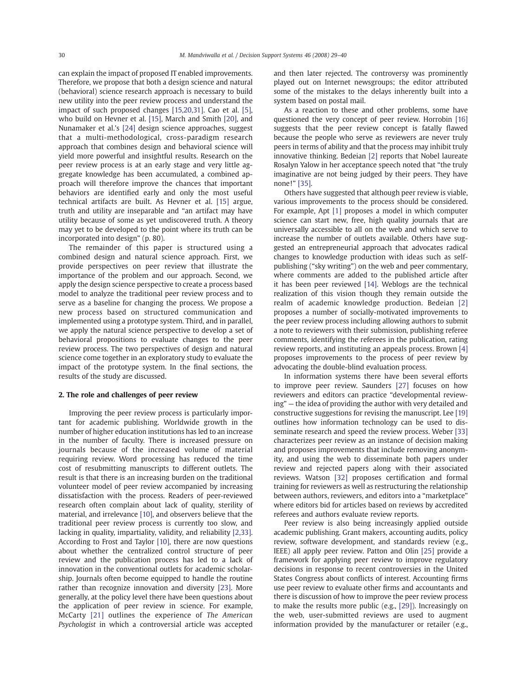can explain the impact of proposed IT enabled improvements. Therefore, we propose that both a design science and natural (behavioral) science research approach is necessary to build new utility into the peer review process and understand the impact of such proposed changes [\[15,20,31\].](#page--1-0) Cao et al. [\[5\]](#page--1-0), who build on Hevner et al. [\[15\],](#page--1-0) March and Smith [\[20\],](#page--1-0) and Nunamaker et al.'s [\[24\]](#page--1-0) design science approaches, suggest that a multi-methodological, cross-paradigm research approach that combines design and behavioral science will yield more powerful and insightful results. Research on the peer review process is at an early stage and very little aggregate knowledge has been accumulated, a combined approach will therefore improve the chances that important behaviors are identified early and only the most useful technical artifacts are built. As Hevner et al. [\[15\]](#page--1-0) argue, truth and utility are inseparable and "an artifact may have utility because of some as yet undiscovered truth. A theory may yet to be developed to the point where its truth can be incorporated into design" (p. 80).

The remainder of this paper is structured using a combined design and natural science approach. First, we provide perspectives on peer review that illustrate the importance of the problem and our approach. Second, we apply the design science perspective to create a process based model to analyze the traditional peer review process and to serve as a baseline for changing the process. We propose a new process based on structured communication and implemented using a prototype system. Third, and in parallel, we apply the natural science perspective to develop a set of behavioral propositions to evaluate changes to the peer review process. The two perspectives of design and natural science come together in an exploratory study to evaluate the impact of the prototype system. In the final sections, the results of the study are discussed.

### 2. The role and challenges of peer review

Improving the peer review process is particularly important for academic publishing. Worldwide growth in the number of higher education institutions has led to an increase in the number of faculty. There is increased pressure on journals because of the increased volume of material requiring review. Word processing has reduced the time cost of resubmitting manuscripts to different outlets. The result is that there is an increasing burden on the traditional volunteer model of peer review accompanied by increasing dissatisfaction with the process. Readers of peer-reviewed research often complain about lack of quality, sterility of material, and irrelevance [\[10\],](#page--1-0) and observers believe that the traditional peer review process is currently too slow, and lacking in quality, impartiality, validity, and reliability [\[2,33\]](#page--1-0). According to Frost and Taylor [\[10\],](#page--1-0) there are now questions about whether the centralized control structure of peer review and the publication process has led to a lack of innovation in the conventional outlets for academic scholarship. Journals often become equipped to handle the routine rather than recognize innovation and diversity [\[23\].](#page--1-0) More generally, at the policy level there have been questions about the application of peer review in science. For example, McCarty [\[21\]](#page--1-0) outlines the experience of The American Psychologist in which a controversial article was accepted and then later rejected. The controversy was prominently played out on Internet newsgroups; the editor attributed some of the mistakes to the delays inherently built into a system based on postal mail.

As a reaction to these and other problems, some have questioned the very concept of peer review. Horrobin [\[16\]](#page--1-0) suggests that the peer review concept is fatally flawed because the people who serve as reviewers are never truly peers in terms of ability and that the process may inhibit truly innovative thinking. Bedeian [\[2\]](#page--1-0) reports that Nobel laureate Rosalyn Yalow in her acceptance speech noted that "the truly imaginative are not being judged by their peers. They have none!" [\[35\]](#page--1-0).

Others have suggested that although peer review is viable, various improvements to the process should be considered. For example, Apt [\[1\]](#page--1-0) proposes a model in which computer science can start new, free, high quality journals that are universally accessible to all on the web and which serve to increase the number of outlets available. Others have suggested an entrepreneurial approach that advocates radical changes to knowledge production with ideas such as selfpublishing ("sky writing") on the web and peer commentary, where comments are added to the published article after it has been peer reviewed [\[14\]](#page--1-0). Weblogs are the technical realization of this vision though they remain outside the realm of academic knowledge production. Bedeian [\[2\]](#page--1-0) proposes a number of socially-motivated improvements to the peer review process including allowing authors to submit a note to reviewers with their submission, publishing referee comments, identifying the referees in the publication, rating review reports, and instituting an appeals process. Brown [\[4\]](#page--1-0) proposes improvements to the process of peer review by advocating the double-blind evaluation process.

In information systems there have been several efforts to improve peer review. Saunders [\[27\]](#page--1-0) focuses on how reviewers and editors can practice "developmental reviewing" — the idea of providing the author with very detailed and constructive suggestions for revising the manuscript. Lee [\[19\]](#page--1-0) outlines how information technology can be used to disseminate research and speed the review process. Weber [\[33\]](#page--1-0) characterizes peer review as an instance of decision making and proposes improvements that include removing anonymity, and using the web to disseminate both papers under review and rejected papers along with their associated reviews. Watson [\[32\]](#page--1-0) proposes certification and formal training for reviewers as well as restructuring the relationship between authors, reviewers, and editors into a "marketplace" where editors bid for articles based on reviews by accredited referees and authors evaluate review reports.

Peer review is also being increasingly applied outside academic publishing. Grant makers, accounting audits, policy review, software development, and standards review (e.g., IEEE) all apply peer review. Patton and Olin [\[25\]](#page--1-0) provide a framework for applying peer review to improve regulatory decisions in response to recent controversies in the United States Congress about conflicts of interest. Accounting firms use peer review to evaluate other firms and accountants and there is discussion of how to improve the peer review process to make the results more public (e.g., [\[29\]](#page--1-0)). Increasingly on the web, user-submitted reviews are used to augment information provided by the manufacturer or retailer (e.g.,